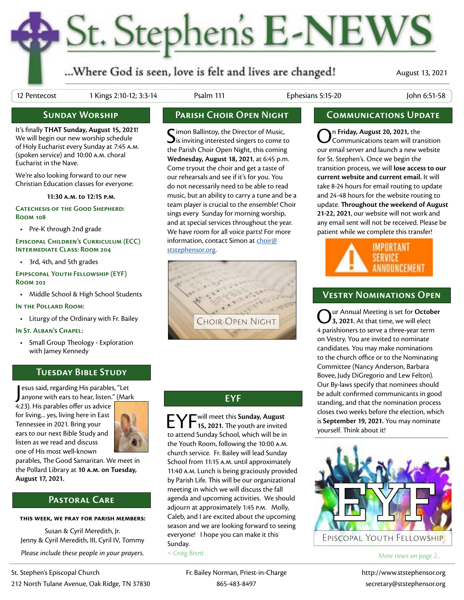## St. Stephen's E-NEWS

...Where God is seen, love is felt and lives are changed!

August 13, 2021

12 Pentecost 1 Kings 2:10-12; 3:3-14 Psalm 111 Ephesians 5:15-20 John 6:51-58

## **Sunday Worship**

It's finally **THAT Sunday, August 15, 2021!**  We will begin our new worship schedule of Holy Eucharist every Sunday at 7:45 a.m. (spoken service) and 10:00 a.m. choral Eucharist in the Nave.

We're also looking forward to our new Christian Education classes for everyone:

**11:30 a.m. to 12:15 p.m.**

**Catechesis of the Good Shepherd: Room 108**

• Pre-K through 2nd grade

**Episcopal Children's Curriculum (ECC) Intermediate Class: Room 204**

• 3rd, 4th, and 5th grades

**Epipscopal Youth Fellowship (EYF) Room 202**

• Middle School & High School Students

**In the Pollard Room:**

• Liturgy of the Ordinary with Fr. Bailey

### **In St. Alban's Chapel:**

• Small Group Theology - Exploration with Jamey Kennedy

## **Tuesday Bible Study**

esus said, regarding His parables, "Let<br>anyone with ears to hear, listen." (Mar anyone with ears to hear, listen." (Mark

4:23). His parables offer us advice for living... yes, living here in East Tennessee in 2021. Bring your ears to our next Bible Study and listen as we read and discuss one of His most well-known



parables, The Good Samaritan. We meet in the Pollard Library at **10 a.m. on Tuesday, August 17, 2021.**

## **Pastoral Care**

### **this week, we pray for parish members:**

Susan & Cyril Meredith, Jr. Jenny & Cyril Meredith, III, Cyril IV, Tommy *Please include these people in your prayers.*

## **Parish Choir Open Night Communications Update**

Simon Ballintoy, the Director of Music,<br>is inviting interested singers to come to the Parish Choir Open Night, this coming **Wednesday, August 18, 2021**, at 6:45 p.m. Come tryout the choir and get a taste of our rehearsals and see if it's for you. You do not necessarily need to be able to read music, but an ability to carry a tune and be a team player is crucial to the ensemble! Choir sings every Sunday for morning worship, and at special services throughout the year. We have room for all voice parts! For more information, contact Simon at [choir@](mailto:choir%40ststephensor.org?subject=) [ststephensor.org.](mailto:choir%40ststephensor.org?subject=)



## **EYF**

EYF will meet this **Sunday, August 15, 2021.** The youth are invited to attend Sunday School, which will be in the Youth Room, following the 10:00 a.m. church service. Fr. Bailey will lead Sunday School from 11:15 a.m. until approximately 11:40 a.m. Lunch is being graciously provided by Parish Life. This will be our organizational meeting in which we will discuss the fall agenda and upcoming activities. We should adjourn at approximately 1:45 p.m. Molly, Caleb, and I are excited about the upcoming season and we are looking forward to seeing everyone! I hope you can make it this Sunday.

*~ Craig Brent*

On **Friday, August 20, 2021,** the Communications team will transition our email server and launch a new website for St. Stephen's. Once we begin the transition process, we will **lose access to our current website and current email.** It will take 8-24 hours for email routing to update and 24-48 hours for the website routing to update. **Throughout the weekend of August 21-22, 2021**, our website will not work and any email sent will not be received. Please be patient while we complete this transfer!



## **Vestry Nominations Open**

Our Annual Meeting is set for **October 3, 2021.** At that time, we will elect 4 parishioners to serve a three-year term on Vestry. You are invited to nominate candidates. You may make nominations to the church office or to the Nominating Committee (Nancy Anderson, Barbara Bovee, Judy DiGregorio and Lew Felton). Our By-laws specify that nominees should be adult confirmed communicants in good standing, and that the nomination process closes two weeks before the election, which is **September 19, 2021.** You may nominate yourself. Think about it!



*More news on page 2...*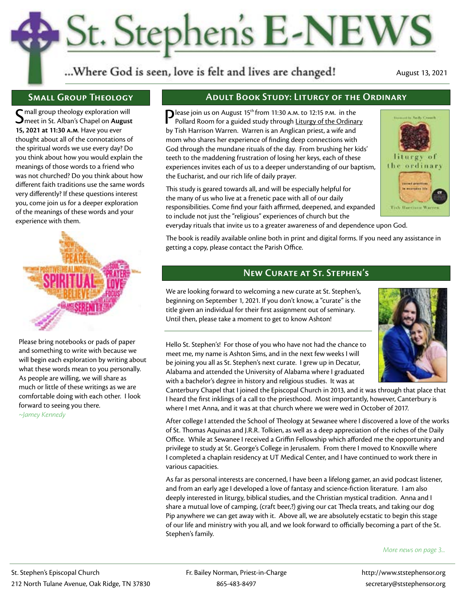## St. Stephen's E-NEWS

...Where God is seen, love is felt and lives are changed!

August 13, 2021

## **Small Group Theology**

 $\boldsymbol{\mathsf{C}}$  mall group theology exploration will meet in St. Alban's Chapel on **August 15, 2021 at 11:30 a.m**. Have you ever thought about all of the connotations of the spiritual words we use every day? Do you think about how you would explain the meanings of those words to a friend who was not churched? Do you think about how different faith traditions use the same words very differently? If these questions interest you, come join us for a deeper exploration of the meanings of these words and your experience with them.



Please bring notebooks or pads of paper and something to write with because we will begin each exploration by writing about what these words mean to you personally. As people are willing, we will share as much or little of these writings as we are comfortable doing with each other. I look forward to seeing you there.

*~Jamey Kennedy*

## **Adult Book Study: Liturgy of the Ordinary**

Please join us on August 15<sup>th</sup> from 11:30 A.M. to 12:15 P.M. in the Pollard Room for a guided study through Liturgy of the Ordinary by Tish Harrison Warren. Warren is an Anglican priest, a wife and mom who shares her experience of finding deep connections with God through the mundane rituals of the day. From brushing her kids' teeth to the maddening frustration of losing her keys, each of these experiences invites each of us to a deeper understanding of our baptism, the Eucharist, and our rich life of daily prayer.

This study is geared towards all, and will be especially helpful for the many of us who live at a frenetic pace with all of our daily responsibilities. Come find your faith affirmed, deepened, and expanded to include not just the "religious" experiences of church but the



everyday rituals that invite us to a greater awareness of and dependence upon God.

The book is readily available online both in print and digital forms. If you need any assistance in getting a copy, please contact the Parish Office.

## **New Curate at St. Stephen's**

We are looking forward to welcoming a new curate at St. Stephen's, beginning on September 1, 2021. If you don't know, a "curate" is the title given an individual for their first assignment out of seminary. Until then, please take a moment to get to know Ashton!



Hello St. Stephen's! For those of you who have not had the chance to meet me, my name is Ashton Sims, and in the next few weeks I will be joining you all as St. Stephen's next curate. I grew up in Decatur, Alabama and attended the University of Alabama where I graduated with a bachelor's degree in history and religious studies. It was at

Canterbury Chapel that I joined the Episcopal Church in 2013, and it was through that place that I heard the first inklings of a call to the priesthood. Most importantly, however, Canterbury is where I met Anna, and it was at that church where we were wed in October of 2017.

After college I attended the School of Theology at Sewanee where I discovered a love of the works of St. Thomas Aquinas and J.R.R. Tolkien, as well as a deep appreciation of the riches of the Daily Office. While at Sewanee I received a Griffin Fellowship which afforded me the opportunity and privilege to study at St. George's College in Jerusalem. From there I moved to Knoxville where I completed a chaplain residency at UT Medical Center, and I have continued to work there in various capacities.

As far as personal interests are concerned, I have been a lifelong gamer, an avid podcast listener, and from an early age I developed a love of fantasy and science-fiction literature. I am also deeply interested in liturgy, biblical studies, and the Christian mystical tradition. Anna and I share a mutual love of camping, (craft beer,?) giving our cat Thecla treats, and taking our dog Pip anywhere we can get away with it. Above all, we are absolutely ecstatic to begin this stage of our life and ministry with you all, and we look forward to officially becoming a part of the St. Stephen's family.